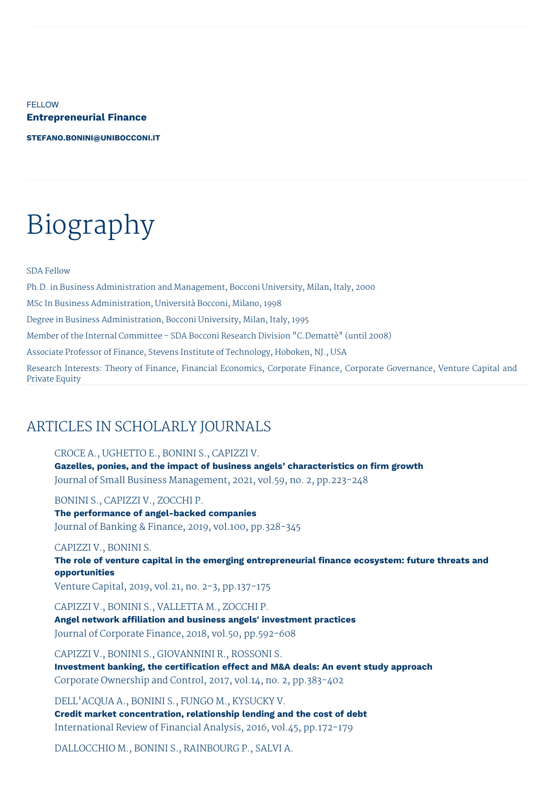**FELLOW Entrepreneurial Finance**

**[STEFANO.BONINI@UNIBOCCONI.IT](mailto:stefano.bonini@unibocconi.it)**

# Biography

SDA Fellow

Ph.D. in Business Administration and Management, Bocconi University, Milan, Italy, 2000

MSc In Business Administration, Università Bocconi, Milano, 1998

Degree in Business Administration, Bocconi University, Milan, Italy, 1995

Member of the Internal Committee - SDA Bocconi Research Division "C.Demattè" (until 2008)

Associate Professor of Finance, Stevens Institute of Technology, Hoboken, NJ., USA

Research Interests: Theory of Finance, Financial Economics, Corporate Finance, Corporate Governance, Venture Capital and Private Equity

# ARTICLES IN SCHOLARLY JOURNALS

CROCE A., UGHETTO E., BONINI S., CAPIZZI V. **Gazelles, ponies, and the impact of business angels' characteristics on firm growth** Journal of Small Business Management, 2021, vol.59, no. 2, pp.223-248

BONINI S., CAPIZZI V., ZOCCHI P.

**The performance of angel-backed companies** Journal of Banking & Finance, 2019, vol.100, pp.328-345

CAPIZZI V., BONINI S.

**The role of venture capital in the emerging entrepreneurial finance ecosystem: future threats and opportunities**

Venture Capital, 2019, vol.21, no. 2-3, pp.137-175

CAPIZZI V., BONINI S., VALLETTA M., ZOCCHI P. **Angel network affiliation and business angels' investment practices** Journal of Corporate Finance, 2018, vol.50, pp.592-608

CAPIZZI V., BONINI S., GIOVANNINI R., ROSSONI S. **Investment banking, the certification effect and M&A deals: An event study approach** Corporate Ownership and Control, 2017, vol.14, no. 2, pp.383-402

DELL'ACQUA A., BONINI S., FUNGO M., KYSUCKY V. **Credit market concentration, relationship lending and the cost of debt** International Review of Financial Analysis, 2016, vol.45, pp.172-179

DALLOCCHIO M., BONINI S., RAINBOURG P., SALVI A.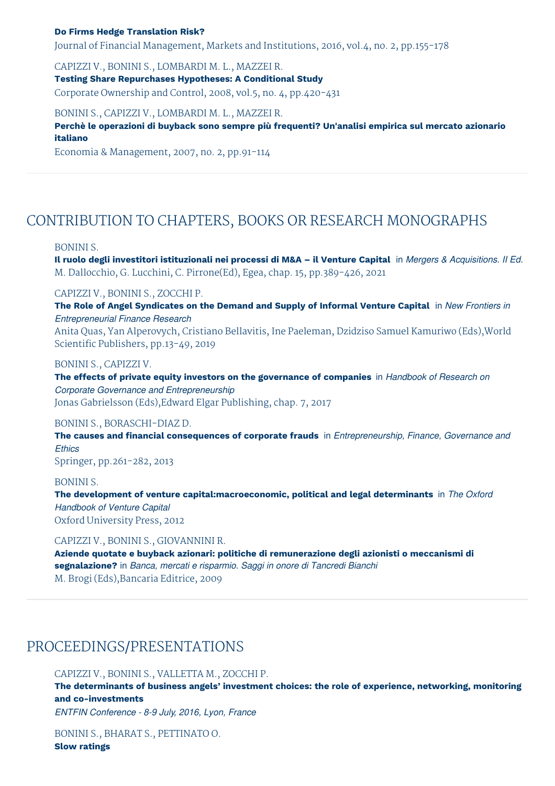#### **Do Firms Hedge Translation Risk?**

Journal of Financial Management, Markets and Institutions, 2016, vol.4, no. 2, pp.155-178

CAPIZZI V., BONINI S., LOMBARDI M. L., MAZZEI R.

**Testing Share Repurchases Hypotheses: A Conditional Study** Corporate Ownership and Control, 2008, vol.5, no. 4, pp.420-431

BONINI S., CAPIZZI V., LOMBARDI M. L., MAZZEI R.

**Perchè le operazioni di buyback sono sempre più frequenti? Un'analisi empirica sul mercato azionario italiano**

Economia & Management, 2007, no. 2, pp.91-114

## CONTRIBUTION TO CHAPTERS, BOOKS OR RESEARCH MONOGRAPHS

#### BONINI S.

Il ruolo degli investitori istituzionali nei processi di M&A - il Venture Capital in Mergers & Acquisitions. Il Ed. M. Dallocchio, G. Lucchini, C. Pirrone(Ed), Egea, chap. 15, pp.389-426, 2021

CAPIZZI V., BONINI S., ZOCCHI P.

**The Role of Angel Syndicates on the Demand and Supply of Informal Venture Capital** in *New Frontiers in Entrepreneurial Finance Research*

Anita Quas, Yan Alperovych, Cristiano Bellavitis, Ine Paeleman, Dzidziso Samuel Kamuriwo (Eds),World Scientific Publishers, pp.13-49, 2019

BONINI S., CAPIZZI V.

**The effects of private equity investors on the governance of companies** in *Handbook of Research on Corporate Governance and Entrepreneurship* Jonas Gabrielsson (Eds),Edward Elgar Publishing, chap. 7, 2017

#### BONINI S., BORASCHI-DIAZ D.

**The causes and financial consequences of corporate frauds** in *Entrepreneurship, Finance, Governance and Ethics*

Springer, pp.261-282, 2013

#### BONINI S.

**The development of venture capital:macroeconomic, political and legal determinants** in *The Oxford Handbook of Venture Capital* Oxford University Press, 2012

#### CAPIZZI V., BONINI S., GIOVANNINI R.

**Aziende quotate e buyback azionari: politiche di remunerazione degli azionisti o meccanismi di segnalazione?** in *Banca, mercati e risparmio. Saggi in onore di Tancredi Bianchi* M. Brogi (Eds),Bancaria Editrice, 2009

### PROCEEDINGS/PRESENTATIONS

CAPIZZI V., BONINI S., VALLETTA M., ZOCCHI P.

**The determinants of business angels' investment choices: the role of experience, networking, monitoring and co-investments**

*ENTFIN Conference - 8-9 July, 2016, Lyon, France*

BONINI S., BHARAT S., PETTINATO O. **Slow ratings**